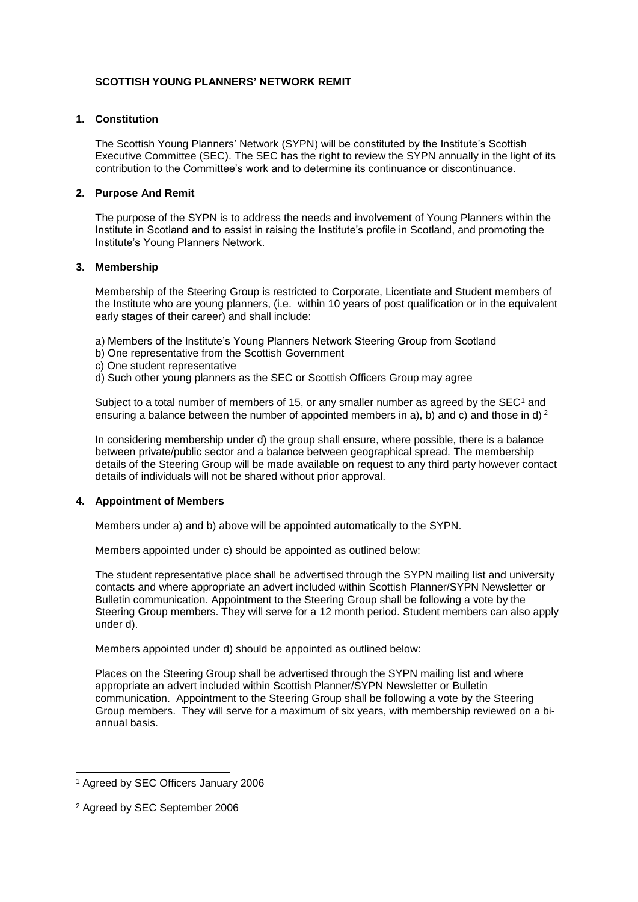# **SCOTTISH YOUNG PLANNERS' NETWORK REMIT**

## **1. Constitution**

The Scottish Young Planners' Network (SYPN) will be constituted by the Institute's Scottish Executive Committee (SEC). The SEC has the right to review the SYPN annually in the light of its contribution to the Committee's work and to determine its continuance or discontinuance.

## **2. Purpose And Remit**

The purpose of the SYPN is to address the needs and involvement of Young Planners within the Institute in Scotland and to assist in raising the Institute's profile in Scotland, and promoting the Institute's Young Planners Network.

#### **3. Membership**

Membership of the Steering Group is restricted to Corporate, Licentiate and Student members of the Institute who are young planners, (i.e. within 10 years of post qualification or in the equivalent early stages of their career) and shall include:

a) Members of the Institute's Young Planners Network Steering Group from Scotland

- b) One representative from the Scottish Government
- c) One student representative
- d) Such other young planners as the SEC or Scottish Officers Group may agree

Subject to a total number of members of 15, or any smaller number as agreed by the  $SEC<sup>1</sup>$  and ensuring a balance between the number of appointed members in a), b) and c) and those in d) <sup>2</sup>

In considering membership under d) the group shall ensure, where possible, there is a balance between private/public sector and a balance between geographical spread. The membership details of the Steering Group will be made available on request to any third party however contact details of individuals will not be shared without prior approval.

# **4. Appointment of Members**

Members under a) and b) above will be appointed automatically to the SYPN.

Members appointed under c) should be appointed as outlined below:

The student representative place shall be advertised through the SYPN mailing list and university contacts and where appropriate an advert included within Scottish Planner/SYPN Newsletter or Bulletin communication. Appointment to the Steering Group shall be following a vote by the Steering Group members. They will serve for a 12 month period. Student members can also apply under d).

Members appointed under d) should be appointed as outlined below:

Places on the Steering Group shall be advertised through the SYPN mailing list and where appropriate an advert included within Scottish Planner/SYPN Newsletter or Bulletin communication. Appointment to the Steering Group shall be following a vote by the Steering Group members. They will serve for a maximum of six years, with membership reviewed on a biannual basis.

l

<sup>1</sup> Agreed by SEC Officers January 2006

<sup>2</sup> Agreed by SEC September 2006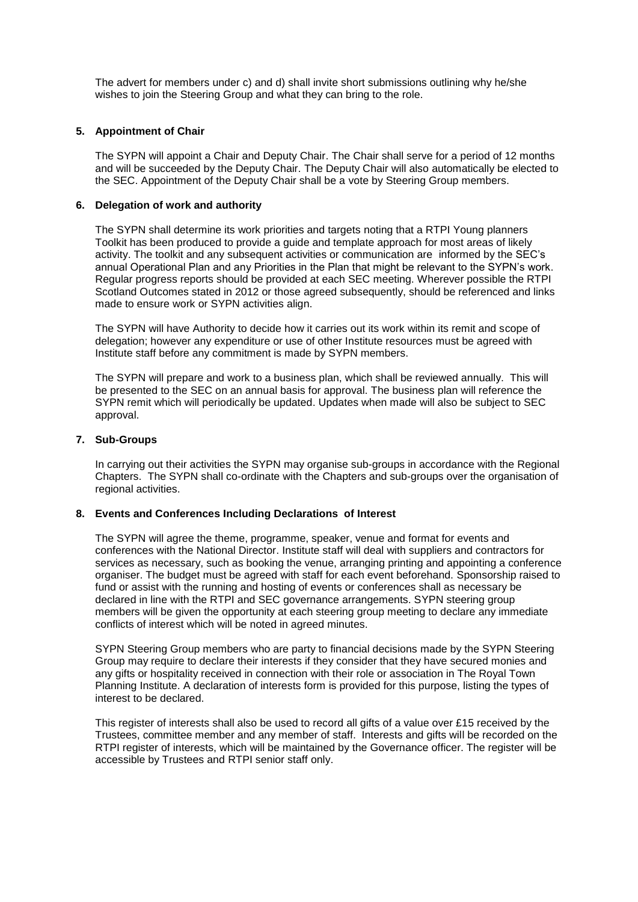The advert for members under c) and d) shall invite short submissions outlining why he/she wishes to join the Steering Group and what they can bring to the role.

#### **5. Appointment of Chair**

The SYPN will appoint a Chair and Deputy Chair. The Chair shall serve for a period of 12 months and will be succeeded by the Deputy Chair. The Deputy Chair will also automatically be elected to the SEC. Appointment of the Deputy Chair shall be a vote by Steering Group members.

## **6. Delegation of work and authority**

The SYPN shall determine its work priorities and targets noting that a RTPI Young planners Toolkit has been produced to provide a guide and template approach for most areas of likely activity. The toolkit and any subsequent activities or communication are informed by the SEC's annual Operational Plan and any Priorities in the Plan that might be relevant to the SYPN's work. Regular progress reports should be provided at each SEC meeting. Wherever possible the RTPI Scotland Outcomes stated in 2012 or those agreed subsequently, should be referenced and links made to ensure work or SYPN activities align.

The SYPN will have Authority to decide how it carries out its work within its remit and scope of delegation; however any expenditure or use of other Institute resources must be agreed with Institute staff before any commitment is made by SYPN members.

The SYPN will prepare and work to a business plan, which shall be reviewed annually. This will be presented to the SEC on an annual basis for approval. The business plan will reference the SYPN remit which will periodically be updated. Updates when made will also be subject to SEC approval.

## **7. Sub-Groups**

In carrying out their activities the SYPN may organise sub-groups in accordance with the Regional Chapters. The SYPN shall co-ordinate with the Chapters and sub-groups over the organisation of regional activities.

#### **8. Events and Conferences Including Declarations of Interest**

The SYPN will agree the theme, programme, speaker, venue and format for events and conferences with the National Director. Institute staff will deal with suppliers and contractors for services as necessary, such as booking the venue, arranging printing and appointing a conference organiser. The budget must be agreed with staff for each event beforehand. Sponsorship raised to fund or assist with the running and hosting of events or conferences shall as necessary be declared in line with the RTPI and SEC governance arrangements. SYPN steering group members will be given the opportunity at each steering group meeting to declare any immediate conflicts of interest which will be noted in agreed minutes.

SYPN Steering Group members who are party to financial decisions made by the SYPN Steering Group may require to declare their interests if they consider that they have secured monies and any gifts or hospitality received in connection with their role or association in The Royal Town Planning Institute. A declaration of interests form is provided for this purpose, listing the types of interest to be declared.

This register of interests shall also be used to record all gifts of a value over £15 received by the Trustees, committee member and any member of staff. Interests and gifts will be recorded on the RTPI register of interests, which will be maintained by the Governance officer. The register will be accessible by Trustees and RTPI senior staff only.